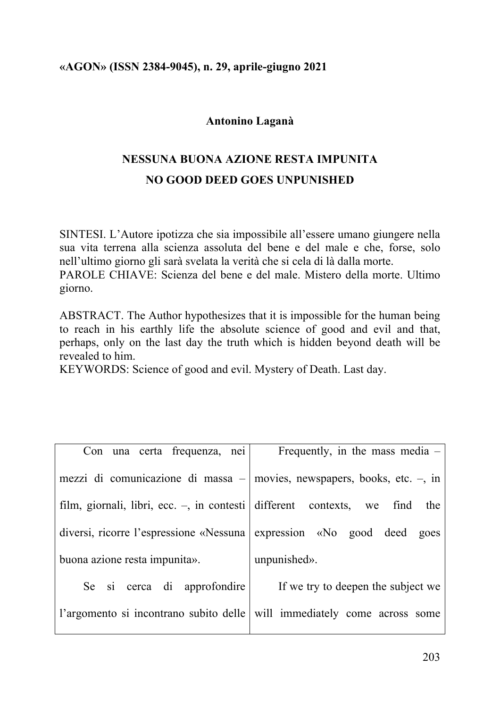### **«AGON» (ISSN 2384-9045), n. 29, aprile-giugno 2021**

### **Antonino Laganà**

# **NESSUNA BUONA AZIONE RESTA IMPUNITA NO GOOD DEED GOES UNPUNISHED**

SINTESI. L'Autore ipotizza che sia impossibile all'essere umano giungere nella sua vita terrena alla scienza assoluta del bene e del male e che, forse, solo nell'ultimo giorno gli sarà svelata la verità che si cela di là dalla morte. PAROLE CHIAVE: Scienza del bene e del male. Mistero della morte. Ultimo giorno.

ABSTRACT. The Author hypothesizes that it is impossible for the human being to reach in his earthly life the absolute science of good and evil and that, perhaps, only on the last day the truth which is hidden beyond death will be revealed to him.

KEYWORDS: Science of good and evil. Mystery of Death. Last day.

| Con una certa frequenza, nei                                          | Frequently, in the mass media $-$                                             |
|-----------------------------------------------------------------------|-------------------------------------------------------------------------------|
|                                                                       | mezzi di comunicazione di massa $-$ movies, newspapers, books, etc. $-$ , in  |
|                                                                       | film, giornali, libri, ecc. $-$ , in contesti different contexts, we find the |
| diversi, ricorre l'espressione «Nessuna expression «No good deed goes |                                                                               |
| buona azione resta impunita».                                         | unpunished».                                                                  |

Se si cerca di approfondire l'argomento si incontrano subito delle If we try to deepen the subject we will immediately come across some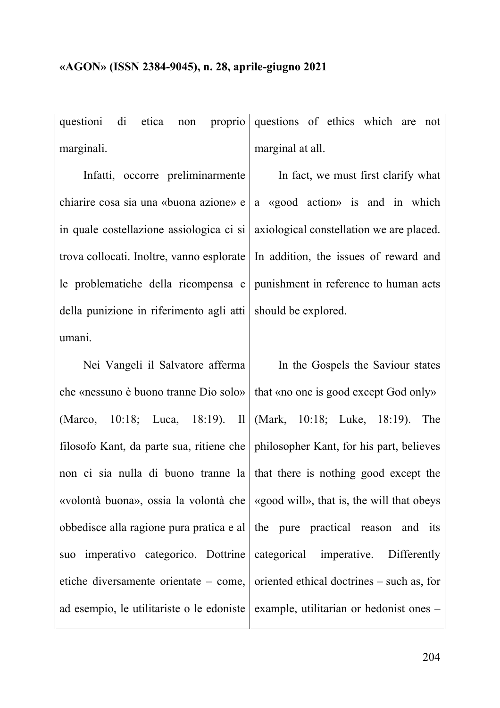questioni di etica non proprio marginali. questions of ethics which are not marginal at all.

Infatti, occorre preliminarmente chiarire cosa sia una «buona azione» e in quale costellazione assiologica ci si trova collocati. Inoltre, vanno esplorate le problematiche della ricompensa e della punizione in riferimento agli atti umani.

Nei Vangeli il Salvatore afferma che «nessuno è buono tranne Dio solo» (Marco, 10:18; Luca, 18:19). Il filosofo Kant, da parte sua, ritiene che non ci sia nulla di buono tranne la «volontà buona», ossia la volontà che obbedisce alla ragione pura pratica e al suo imperativo categorico. Dottrine etiche diversamente orientate – come, ad esempio, le utilitariste o le edoniste

In fact, we must first clarify what a «good action» is and in which axiological constellation we are placed. In addition, the issues of reward and punishment in reference to human acts should be explored.

In the Gospels the Saviour states that «no one is good except God only» (Mark, 10:18; Luke, 18:19). The philosopher Kant, for his part, believes that there is nothing good except the «good will», that is, the will that obeys the pure practical reason and its categorical imperative. Differently oriented ethical doctrines – such as, for example, utilitarian or hedonist ones –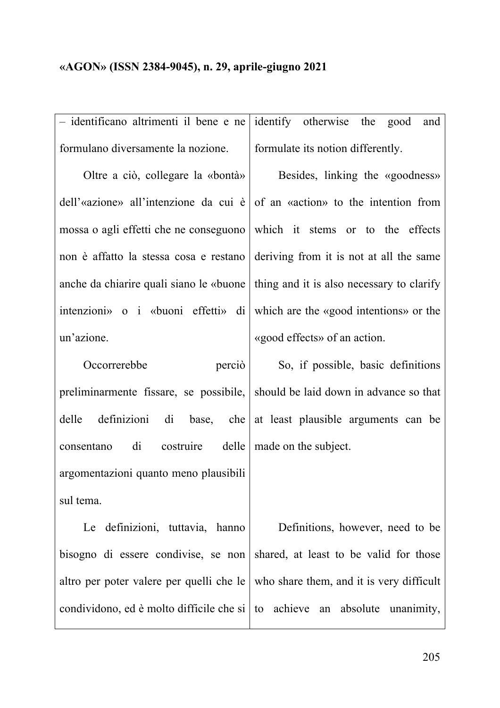– identificano altrimenti il bene e ne formulano diversamente la nozione.

Oltre a ciò, collegare la «bontà» dell'«azione» all'intenzione da cui è mossa o agli effetti che ne conseguono non è affatto la stessa cosa e restano anche da chiarire quali siano le «buone intenzioni» o i «buoni effetti» di un'azione.

Occorrerebbe perciò preliminarmente fissare, se possibile, delle definizioni di base, che consentano di costruire delle argomentazioni quanto meno plausibili sul tema.

Le definizioni, tuttavia, hanno bisogno di essere condivise, se non altro per poter valere per quelli che le condividono, ed è molto difficile che si identify otherwise the good and formulate its notion differently.

Besides, linking the «goodness» of an «action» to the intention from which it stems or to the effects deriving from it is not at all the same thing and it is also necessary to clarify which are the «good intentions» or the «good effects» of an action.

So, if possible, basic definitions should be laid down in advance so that at least plausible arguments can be made on the subject.

Definitions, however, need to be shared, at least to be valid for those who share them, and it is very difficult to achieve an absolute unanimity,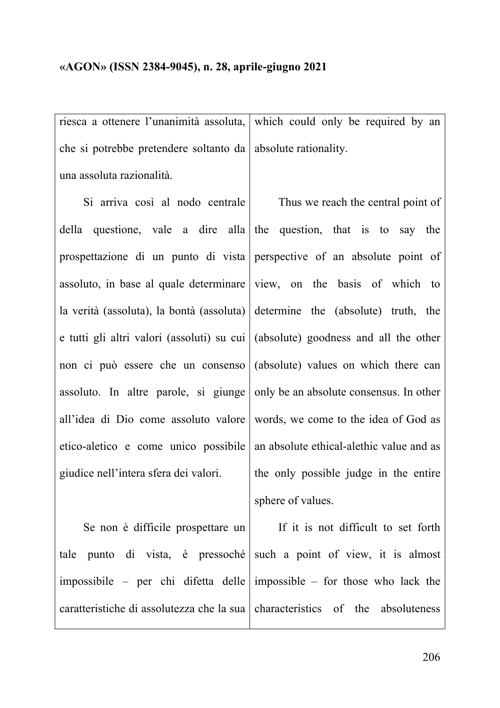#### **«AGON» (ISSN 2384-9045), n. 28, aprile-giugno 2021**

riesca a ottenere l'unanimità assoluta, che si potrebbe pretendere soltanto da una assoluta razionalità. which could only be required by an absolute rationality.

Si arriva così al nodo centrale della questione, vale a dire alla prospettazione di un punto di vista assoluto, in base al quale determinare la verità (assoluta), la bontà (assoluta) e tutti gli altri valori (assoluti) su cui non ci può essere che un consenso assoluto. In altre parole, si giunge all'idea di Dio come assoluto valore etico-aletico e come unico possibile giudice nell'intera sfera dei valori.

Thus we reach the central point of the question, that is to say the perspective of an absolute point of view, on the basis of which to determine the (absolute) truth, the (absolute) goodness and all the other (absolute) values on which there can only be an absolute consensus. In other words, we come to the idea of God as an absolute ethical-alethic value and as the only possible judge in the entire sphere of values.

Se non è difficile prospettare un tale punto di vista, è pressoché impossibile – per chi difetta delle caratteristiche di assolutezza che la sua

If it is not difficult to set forth such a point of view, it is almost impossible – for those who lack the characteristics of the absoluteness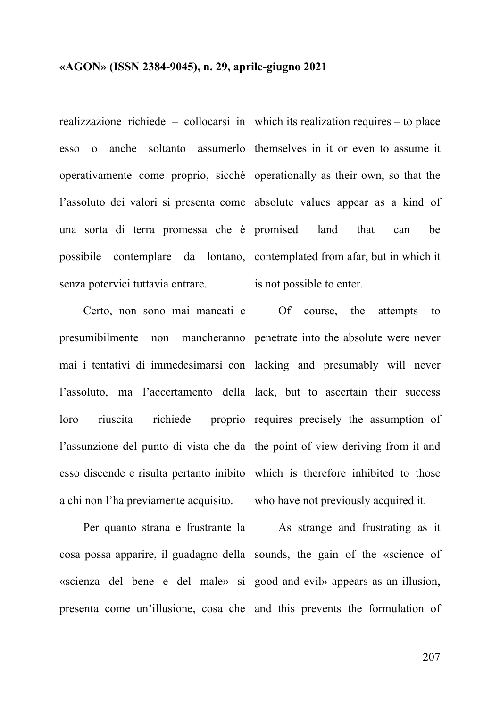realizzazione richiede – collocarsi in esso o anche soltanto assumerlo operativamente come proprio, sicché l'assoluto dei valori si presenta come una sorta di terra promessa che è possibile contemplare da lontano, senza potervici tuttavia entrare.

Certo, non sono mai mancati e presumibilmente non mancheranno mai i tentativi di immedesimarsi con l'assoluto, ma l'accertamento della loro riuscita richiede proprio l'assunzione del punto di vista che da esso discende e risulta pertanto inibito a chi non l'ha previamente acquisito.

Per quanto strana e frustrante la cosa possa apparire, il guadagno della «scienza del bene e del male» si presenta come un'illusione, cosa che

which its realization requires – to place themselves in it or even to assume it operationally as their own, so that the absolute values appear as a kind of promised land that can be contemplated from afar, but in which it is not possible to enter.

Of course, the attempts to penetrate into the absolute were never lacking and presumably will never lack, but to ascertain their success requires precisely the assumption of the point of view deriving from it and which is therefore inhibited to those who have not previously acquired it.

As strange and frustrating as it sounds, the gain of the «science of good and evil» appears as an illusion, and this prevents the formulation of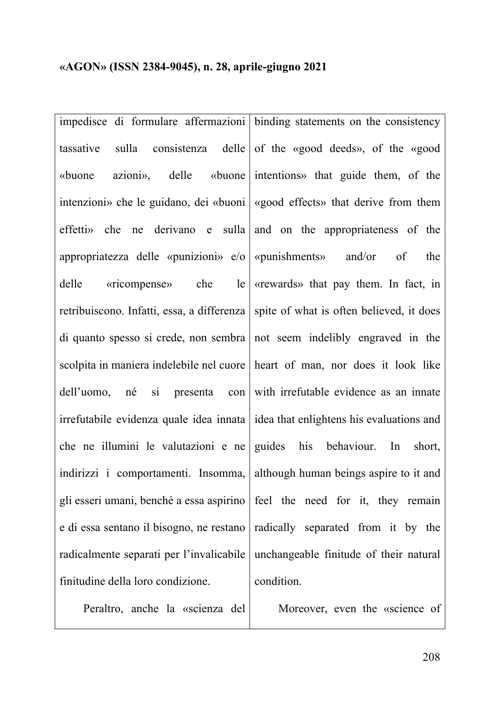impedisce di formulare affermazioni tassative sulla consistenza delle «buone azioni», delle «buone intenzioni» che le guidano, dei «buoni effetti» che ne derivano e sulla appropriatezza delle «punizioni» e/o delle «ricompense» che le retribuiscono. Infatti, essa, a differenza di quanto spesso si crede, non sembra scolpita in maniera indelebile nel cuore dell'uomo, né si presenta con irrefutabile evidenza quale idea innata che ne illumini le valutazioni e ne indirizzi i comportamenti. Insomma, gli esseri umani, benché a essa aspirino e di essa sentano il bisogno, ne restano radicalmente separati per l'invalicabile finitudine della loro condizione.

Peraltro, anche la «scienza del

binding statements on the consistency of the «good deeds», of the «good intentions» that guide them, of the «good effects» that derive from them and on the appropriateness of the «punishments» and/or of the «rewards» that pay them. In fact, in spite of what is often believed, it does not seem indelibly engraved in the heart of man, nor does it look like with irrefutable evidence as an innate idea that enlightens his evaluations and guides his behaviour. In short, although human beings aspire to it and feel the need for it, they remain radically separated from it by the unchangeable finitude of their natural condition.

Moreover, even the «science of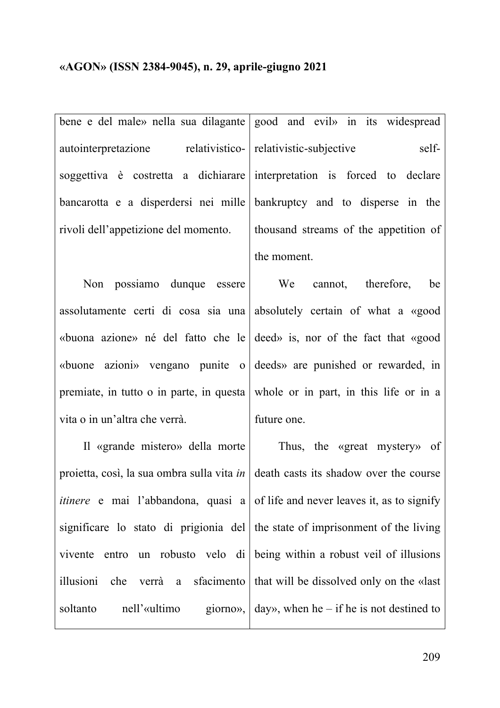bene e del male» nella sua dilagante autointerpretazione relativisticosoggettiva è costretta a dichiarare bancarotta e a disperdersi nei mille rivoli dell'appetizione del momento.

Non possiamo dunque essere assolutamente certi di cosa sia una «buona azione» né del fatto che le «buone azioni» vengano punite o premiate, in tutto o in parte, in questa vita o in un'altra che verrà.

Il «grande mistero» della morte proietta, così, la sua ombra sulla vita *in itinere* e mai l'abbandona, quasi a significare lo stato di prigionia del vivente entro un robusto velo di illusioni che verrà a sfacimento soltanto nell'«ultimo giorno»,

good and evil» in its widespread relativistic-subjective selfinterpretation is forced to declare bankruptcy and to disperse in the thousand streams of the appetition of the moment.

We cannot, therefore, be absolutely certain of what a «good deed» is, nor of the fact that «good deeds» are punished or rewarded, in whole or in part, in this life or in a future one.

Thus, the «great mystery» of death casts its shadow over the course of life and never leaves it, as to signify the state of imprisonment of the living being within a robust veil of illusions that will be dissolved only on the «last day», when  $he$  – if he is not destined to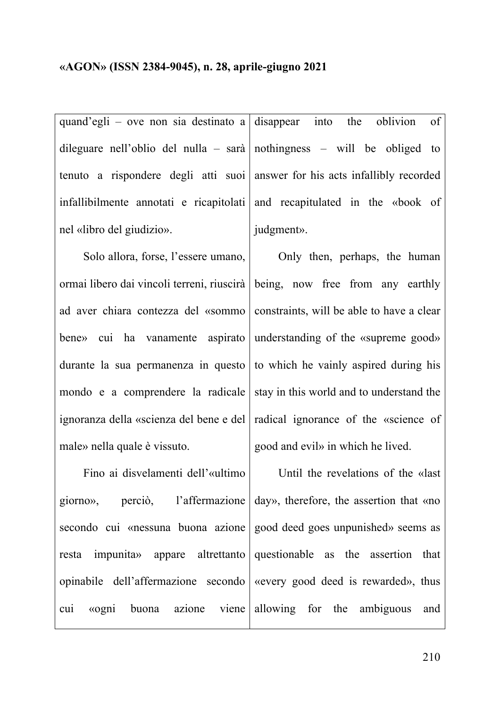quand'egli – ove non sia destinato a dileguare nell'oblio del nulla – sarà tenuto a rispondere degli atti suoi infallibilmente annotati e ricapitolati nel «libro del giudizio».

Solo allora, forse, l'essere umano, ormai libero dai vincoli terreni, riuscirà ad aver chiara contezza del «sommo bene» cui ha vanamente aspirato durante la sua permanenza in questo mondo e a comprendere la radicale ignoranza della «scienza del bene e del male» nella quale è vissuto.

Fino ai disvelamenti dell'«ultimo giorno», perciò, l'affermazione secondo cui «nessuna buona azione resta impunita» appare altrettanto opinabile dell'affermazione secondo cui «ogni buona azione viene disappear into the oblivion of nothingness – will be obliged to answer for his acts infallibly recorded and recapitulated in the «book of judgment».

Only then, perhaps, the human being, now free from any earthly constraints, will be able to have a clear understanding of the «supreme good» to which he vainly aspired during his stay in this world and to understand the radical ignorance of the «science of good and evil» in which he lived.

Until the revelations of the «last day», therefore, the assertion that «no good deed goes unpunished» seems as questionable as the assertion that «every good deed is rewarded», thus allowing for the ambiguous and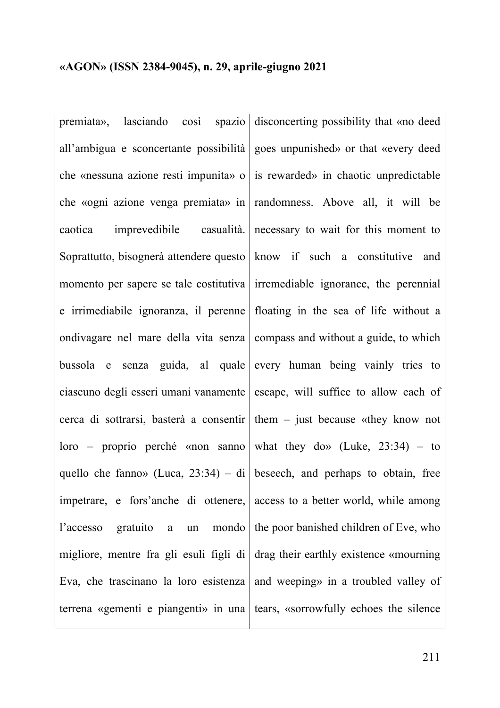premiata», lasciando così spazio all'ambigua e sconcertante possibilità che «nessuna azione resti impunita» o che «ogni azione venga premiata» in caotica imprevedibile casualità. Soprattutto, bisognerà attendere questo momento per sapere se tale costitutiva e irrimediabile ignoranza, il perenne ondivagare nel mare della vita senza bussola e senza guida, al quale ciascuno degli esseri umani vanamente cerca di sottrarsi, basterà a consentir loro – proprio perché «non sanno quello che fanno» (Luca, 23:34) – di impetrare, e fors'anche di ottenere, l'accesso gratuito a un mondo migliore, mentre fra gli esuli figli di Eva, che trascinano la loro esistenza terrena «gementi e piangenti» in una

disconcerting possibility that «no deed goes unpunished» or that «every deed is rewarded» in chaotic unpredictable randomness. Above all, it will be necessary to wait for this moment to know if such a constitutive and irremediable ignorance, the perennial floating in the sea of life without a compass and without a guide, to which every human being vainly tries to escape, will suffice to allow each of them – just because «they know not what they dow (Luke,  $23:34$ ) – to beseech, and perhaps to obtain, free access to a better world, while among the poor banished children of Eve, who drag their earthly existence «mourning and weeping» in a troubled valley of tears, «sorrowfully echoes the silence